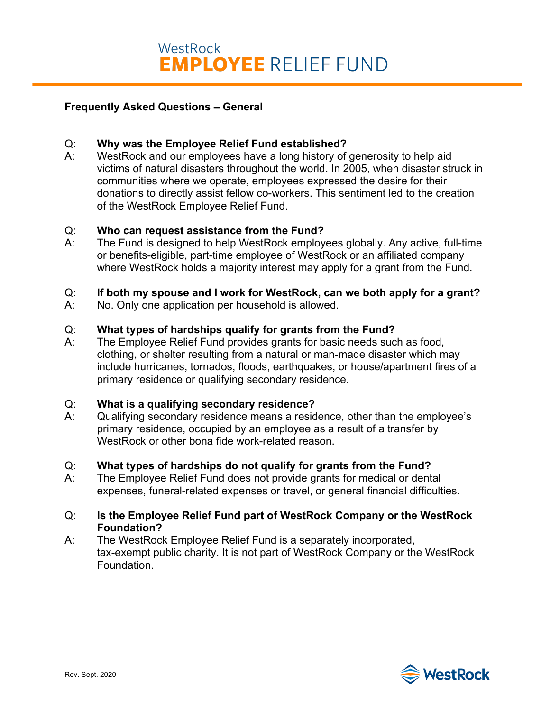## **Frequently Asked Questions – General**

## Q: **Why was the Employee Relief Fund established?**

A: WestRock and our employees have a long history of generosity to help aid victims of natural disasters throughout the world. In 2005, when disaster struck in communities where we operate, employees expressed the desire for their donations to directly assist fellow co-workers. This sentiment led to the creation of the WestRock Employee Relief Fund.

### Q: **Who can request assistance from the Fund?**

A: The Fund is designed to help WestRock employees globally. Any active, full-time or benefits-eligible, part-time employee of WestRock or an affiliated company where WestRock holds a majority interest may apply for a grant from the Fund.

## Q: **If both my spouse and I work for WestRock, can we both apply for a grant?**

A: No. Only one application per household is allowed.

## Q: **What types of hardships qualify for grants from the Fund?**

A: The Employee Relief Fund provides grants for basic needs such as food, clothing, or shelter resulting from a natural or man-made disaster which may include hurricanes, tornados, floods, earthquakes, or house/apartment fires of a primary residence or qualifying secondary residence.

### Q: **What is a qualifying secondary residence?**

A: Qualifying secondary residence means a residence, other than the employee's primary residence, occupied by an employee as a result of a transfer by WestRock or other bona fide work-related reason.

### Q: **What types of hardships do not qualify for grants from the Fund?**

A: The Employee Relief Fund does not provide grants for medical or dental expenses, funeral-related expenses or travel, or general financial difficulties.

## Q: **Is the Employee Relief Fund part of WestRock Company or the WestRock Foundation?**

A: The WestRock Employee Relief Fund is a separately incorporated, tax-exempt public charity. It is not part of WestRock Company or the WestRock Foundation.

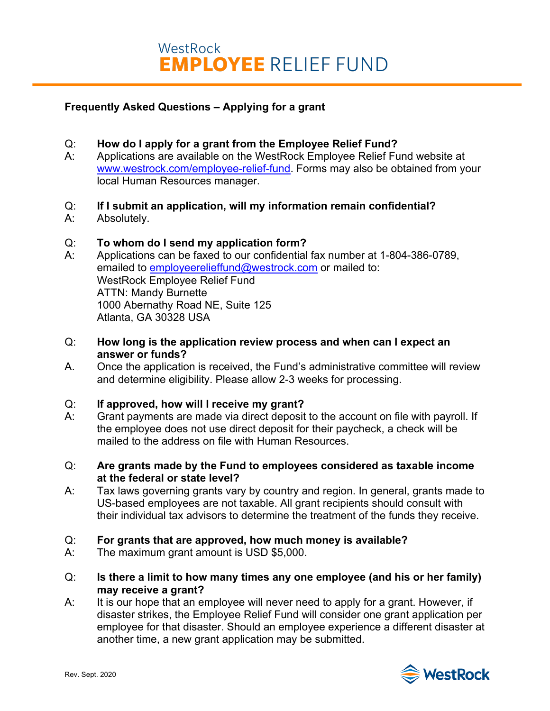# **Frequently Asked Questions – Applying for a grant**

## Q: **How do I apply for a grant from the Employee Relief Fund?**

A: Applications are available on the WestRock Employee Relief Fund website at www.westrock.com/employee-relief-fund. Forms may also be obtained from your local Human Resources manager.

## Q: **If I submit an application, will my information remain confidential?**

A: Absolutely.

## Q: **To whom do I send my application form?**

- A: Applications can be faxed to our confidential fax number at 1-804-386-0789, emailed to employeerelieffund@westrock.com or mailed to: WestRock Employee Relief Fund ATTN: Mandy Burnette 1000 Abernathy Road NE, Suite 125 Atlanta, GA 30328 USA
- Q: **How long is the application review process and when can I expect an answer or funds?**
- A. Once the application is received, the Fund's administrative committee will review and determine eligibility. Please allow 2-3 weeks for processing.

### Q: **If approved, how will I receive my grant?**

- A: Grant payments are made via direct deposit to the account on file with payroll. If the employee does not use direct deposit for their paycheck, a check will be mailed to the address on file with Human Resources.
- Q: **Are grants made by the Fund to employees considered as taxable income at the federal or state level?**
- A: Tax laws governing grants vary by country and region. In general, grants made to US-based employees are not taxable. All grant recipients should consult with their individual tax advisors to determine the treatment of the funds they receive.

### Q: **For grants that are approved, how much money is available?**

- A: The maximum grant amount is USD \$5,000.
- Q: **Is there a limit to how many times any one employee (and his or her family) may receive a grant?**
- A: It is our hope that an employee will never need to apply for a grant. However, if disaster strikes, the Employee Relief Fund will consider one grant application per employee for that disaster. Should an employee experience a different disaster at another time, a new grant application may be submitted.